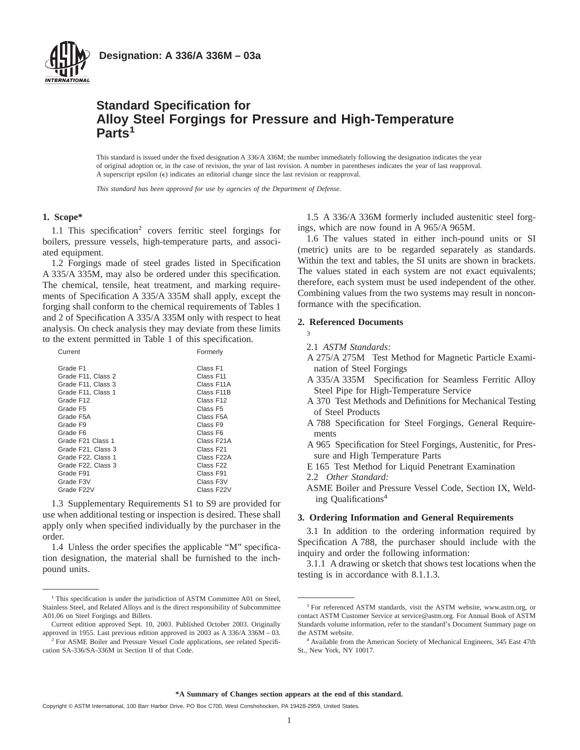

# **Standard Specification for Alloy Steel Forgings for Pressure and High-Temperature Parts<sup>1</sup>**

This standard is issued under the fixed designation A 336/A 336M; the number immediately following the designation indicates the year of original adoption or, in the case of revision, the year of last revision. A number in parentheses indicates the year of last reapproval. A superscript epsilon  $(\epsilon)$  indicates an editorial change since the last revision or reapproval.

*This standard has been approved for use by agencies of the Department of Defense.*

#### **1. Scope\***

1.1 This specification2 covers ferritic steel forgings for boilers, pressure vessels, high-temperature parts, and associated equipment.

1.2 Forgings made of steel grades listed in Specification A 335/A 335M, may also be ordered under this specification. The chemical, tensile, heat treatment, and marking requirements of Specification A 335/A 335M shall apply, except the forging shall conform to the chemical requirements of Tables 1 and 2 of Specification A 335/A 335M only with respect to heat analysis. On check analysis they may deviate from these limits to the extent permitted in Table 1 of this specification.

| Current              | Formerly               |
|----------------------|------------------------|
| Grade F1             | Class F1               |
| Grade F11, Class 2   | Class F11              |
| Grade F11, Class 3   | Class F11A             |
| Grade F11, Class 1   | Class F11B             |
| Grade F12            | Class F12              |
| Grade F <sub>5</sub> | Class F5               |
| Grade F5A            | Class F5A              |
| Grade F9             | Class F9               |
| Grade F6             | Class F6               |
| Grade F21 Class 1    | Class F21A             |
| Grade F21, Class 3   | Class F21              |
| Grade F22, Class 1   | Class F22A             |
| Grade F22, Class 3   | Class F22              |
| Grade F91            | Class F91              |
| Grade F3V            | Class F <sub>3</sub> V |
| Grade F22V           | Class F22V             |

1.3 Supplementary Requirements S1 to S9 are provided for use when additional testing or inspection is desired. These shall apply only when specified individually by the purchaser in the order.

1.4 Unless the order specifies the applicable "M" specification designation, the material shall be furnished to the inchpound units.

1.5 A 336/A 336M formerly included austenitic steel forgings, which are now found in A 965/A 965M.

1.6 The values stated in either inch-pound units or SI (metric) units are to be regarded separately as standards. Within the text and tables, the SI units are shown in brackets. The values stated in each system are not exact equivalents; therefore, each system must be used independent of the other. Combining values from the two systems may result in nonconformance with the specification.

#### **2. Referenced Documents**

- 3
- 2.1 *ASTM Standards:*
- A 275/A 275M Test Method for Magnetic Particle Examination of Steel Forgings
- A 335/A 335M Specification for Seamless Ferritic Alloy Steel Pipe for High-Temperature Service
- A 370 Test Methods and Definitions for Mechanical Testing of Steel Products
- A 788 Specification for Steel Forgings, General Requirements
- A 965 Specification for Steel Forgings, Austenitic, for Pressure and High Temperature Parts
- E 165 Test Method for Liquid Penetrant Examination
- 2.2 *Other Standard:*
- ASME Boiler and Pressure Vessel Code, Section IX, Welding Qualifications<sup>4</sup>

#### **3. Ordering Information and General Requirements**

3.1 In addition to the ordering information required by Specification A 788, the purchaser should include with the inquiry and order the following information:

3.1.1 A drawing or sketch that shows test locations when the testing is in accordance with 8.1.1.3.

<sup>&</sup>lt;sup>1</sup> This specification is under the jurisdiction of ASTM Committee A01 on Steel, Stainless Steel, and Related Alloys and is the direct responsibility of Subcommittee A01.06 on Steel Forgings and Billets.

Current edition approved Sept. 10, 2003. Published October 2003. Originally approved in 1955. Last previous edition approved in 2003 as A 336/A 336M – 03.

<sup>&</sup>lt;sup>2</sup> For ASME Boiler and Pressure Vessel Code applications, see related Specification SA-336/SA-336M in Section II of that Code.

<sup>&</sup>lt;sup>3</sup> For referenced ASTM standards, visit the ASTM website, www.astm.org, or contact ASTM Customer Service at service@astm.org. For Annual Book of ASTM Standards volume information, refer to the standard's Document Summary page on the ASTM website.

<sup>4</sup> Available from the American Society of Mechanical Engineers, 345 East 47th St., New York, NY 10017.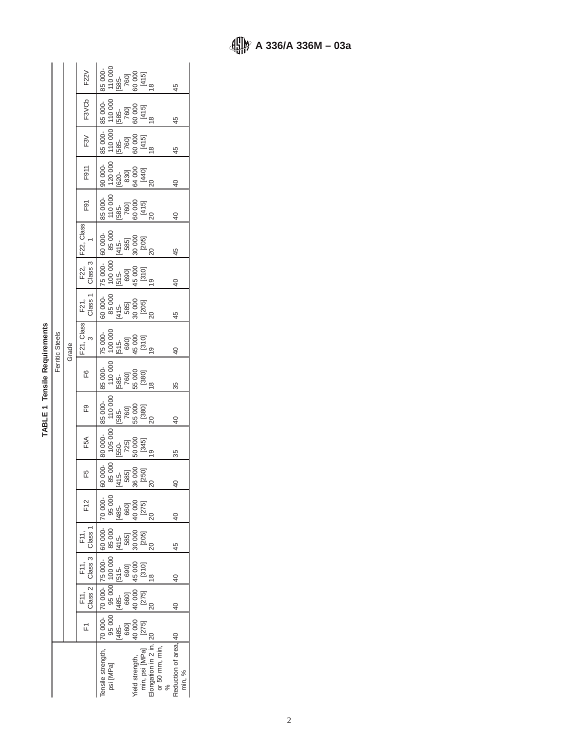# TABLE 1 Tensile Requirements **TABLE 1 Tensile Requirements**

Ï

|                 |       | F <sub>2</sub> 2V                                                                                                                                                                                                                                                                                                                                         |                                                                                                                |           | 85 000-<br>110 000<br>1585-<br>160 000<br>141 51<br>18                                                                                                                                                                                                                                                                                                                                                          |                         |  |                 |                                                                                                                                                                                                                                                                                                           |               | 45                              |  |    |
|-----------------|-------|-----------------------------------------------------------------------------------------------------------------------------------------------------------------------------------------------------------------------------------------------------------------------------------------------------------------------------------------------------------|----------------------------------------------------------------------------------------------------------------|-----------|-----------------------------------------------------------------------------------------------------------------------------------------------------------------------------------------------------------------------------------------------------------------------------------------------------------------------------------------------------------------------------------------------------------------|-------------------------|--|-----------------|-----------------------------------------------------------------------------------------------------------------------------------------------------------------------------------------------------------------------------------------------------------------------------------------------------------|---------------|---------------------------------|--|----|
|                 |       | F3VCb                                                                                                                                                                                                                                                                                                                                                     |                                                                                                                |           | 85 000-<br>110 000<br>1585-<br>160 000<br>1415]<br>18 14                                                                                                                                                                                                                                                                                                                                                        |                         |  |                 |                                                                                                                                                                                                                                                                                                           |               | 45                              |  |    |
|                 |       | F3V                                                                                                                                                                                                                                                                                                                                                       |                                                                                                                |           | 85 000-<br>110 000<br>1585-<br>1600<br>1415]<br>18 1415]                                                                                                                                                                                                                                                                                                                                                        |                         |  |                 |                                                                                                                                                                                                                                                                                                           |               | 45                              |  |    |
|                 |       | F911                                                                                                                                                                                                                                                                                                                                                      |                                                                                                                |           | $\begin{array}{l} 9000 \\ 9000 \\ 7200 \\ 1200 \\ 1200 \\ 1200 \\ 1200 \\ 1200 \\ 1200 \\ 1200 \\ 1200 \\ 1200 \\ 1200 \\ 1200 \\ 1200 \\ 1200 \\ 1200 \\ 1200 \\ 1200 \\ 1200 \\ 1200 \\ 1200 \\ 1200 \\ 1200 \\ 1200 \\ 1200 \\ 1200 \\ 1200 \\ 1200 \\ 1200 \\ 1200 \\ 1200 \\ 1200 \\ 1200 \\ 1200 \\ 12$                                                                                                   |                         |  |                 |                                                                                                                                                                                                                                                                                                           |               | $rac{1}{2}$                     |  |    |
|                 |       | F91                                                                                                                                                                                                                                                                                                                                                       |                                                                                                                |           | 85 000-<br>110 000<br>1585-<br>1601<br>1415]<br>20 20                                                                                                                                                                                                                                                                                                                                                           |                         |  |                 |                                                                                                                                                                                                                                                                                                           |               | $\frac{4}{3}$                   |  |    |
|                 |       | F22, Class                                                                                                                                                                                                                                                                                                                                                |                                                                                                                |           | 60 000-<br>85 000<br>(415-<br>585]<br>50 005]<br>20 20                                                                                                                                                                                                                                                                                                                                                          |                         |  |                 |                                                                                                                                                                                                                                                                                                           |               | 45                              |  |    |
|                 |       | $\begin{bmatrix} 522, \\ \textrm{Class 3} \\ \textrm{Class 2} \\ 75,000. \\ 100,000 \\ \textrm{[515-} \\ 690] \\ 45,000 \\ 1910. \\ 1910. \\ 1910. \\ 1910. \\ 1910. \\ 1910. \\ 1910. \\ 1910. \\ 1910. \\ 1910. \\ 1910. \\ 1910. \\ 1910. \\ 1910. \\ 1910. \\ 1910. \\ 1910. \\ 1910. \\ 1910. \\ 1910. \\ 191$                                       |                                                                                                                |           |                                                                                                                                                                                                                                                                                                                                                                                                                 |                         |  |                 |                                                                                                                                                                                                                                                                                                           |               | $\overline{a}$                  |  |    |
| Ferritic Steels |       | F21,<br>Class 1                                                                                                                                                                                                                                                                                                                                           | 000-<br>85 000<br>(415-<br>(415-<br>80005<br>2005<br>20                                                        |           |                                                                                                                                                                                                                                                                                                                                                                                                                 |                         |  |                 |                                                                                                                                                                                                                                                                                                           |               | 45                              |  |    |
|                 | Grade | F21, Class<br>3                                                                                                                                                                                                                                                                                                                                           |                                                                                                                |           |                                                                                                                                                                                                                                                                                                                                                                                                                 |                         |  |                 |                                                                                                                                                                                                                                                                                                           |               | $\frac{4}{5}$                   |  |    |
|                 |       | F6                                                                                                                                                                                                                                                                                                                                                        |                                                                                                                |           | 85 000-<br> 10 000<br> 585-<br> 5600<br> 580]<br> 18                                                                                                                                                                                                                                                                                                                                                            |                         |  |                 |                                                                                                                                                                                                                                                                                                           |               | 35                              |  |    |
|                 |       | ၉                                                                                                                                                                                                                                                                                                                                                         |                                                                                                                |           | 85 000-<br> 10 000<br> 585- 000<br> 586]<br> 20<br> 20<br> 20                                                                                                                                                                                                                                                                                                                                                   |                         |  |                 |                                                                                                                                                                                                                                                                                                           |               | $\overline{40}$                 |  |    |
|                 |       | F5A                                                                                                                                                                                                                                                                                                                                                       | 80 000- 80 000- 8<br>85 000 105 000<br>[415- [550- ]<br>585] 725]<br>7800 5000 5<br>[250] 19<br>79<br>20<br>20 |           |                                                                                                                                                                                                                                                                                                                                                                                                                 |                         |  |                 |                                                                                                                                                                                                                                                                                                           |               | 35                              |  |    |
|                 |       | F5                                                                                                                                                                                                                                                                                                                                                        |                                                                                                                |           |                                                                                                                                                                                                                                                                                                                                                                                                                 |                         |  |                 |                                                                                                                                                                                                                                                                                                           |               | \$                              |  |    |
|                 |       | F12                                                                                                                                                                                                                                                                                                                                                       | 70 000-                                                                                                        |           | 95 000<br> 485-<br> 460]<br> 40 000<br> 275]                                                                                                                                                                                                                                                                                                                                                                    |                         |  | $\overline{20}$ |                                                                                                                                                                                                                                                                                                           |               | $\overline{0}$                  |  |    |
|                 |       |                                                                                                                                                                                                                                                                                                                                                           |                                                                                                                |           |                                                                                                                                                                                                                                                                                                                                                                                                                 |                         |  |                 |                                                                                                                                                                                                                                                                                                           |               |                                 |  | 45 |
|                 |       | $\begin{array}{c c c c c c} \text{F11,} & \text{F11,} & \text{F11,} & \text{F11,} & \text{F11,} & \text{F11,} & \text{F11,} & \text{F11,} & \text{F11,} & \text{F11,} & \text{F11,} & \text{F11,} & \text{F11,} & \text{F11,} & \text{F11,} & \text{F11,} & \text{F11,} & \text{F11,} & \text{F11,} & \text{F11,} & \text{F11,} & \text{F11,} & \text{F1$ | 70 000-75 000- 60 000-                                                                                         |           | $[{\bf 95.000\atop {\bf 1485}} \begin{array}{c} {\bf 95.000\atop {\bf 1485}} \end{array} \begin{array}{c} {\bf 95.000\atop {\bf 1485}} \end{array} \begin{array}{c} {\bf 95.000\atop {\bf 1485}} \end{array} \begin{array}{c} {\bf 85.00\atop {\bf 1485}} \end{array} \begin{array}{c} {\bf 1415\atop {\bf 1485}} \end{array} \begin{array}{c} {\bf 1415\atop {\bf 1485}} \end{array} \begin{array}{c} {\bf 14$ |                         |  |                 |                                                                                                                                                                                                                                                                                                           |               | $\theta$                        |  |    |
|                 |       |                                                                                                                                                                                                                                                                                                                                                           |                                                                                                                |           |                                                                                                                                                                                                                                                                                                                                                                                                                 |                         |  |                 |                                                                                                                                                                                                                                                                                                           |               | $\theta$                        |  |    |
|                 |       | ET<br>E                                                                                                                                                                                                                                                                                                                                                   | 70 000-                                                                                                        |           |                                                                                                                                                                                                                                                                                                                                                                                                                 | [485-<br>660]<br>40 000 |  |                 |                                                                                                                                                                                                                                                                                                           |               |                                 |  |    |
|                 |       |                                                                                                                                                                                                                                                                                                                                                           | ensile strength,                                                                                               | psi [MPa] |                                                                                                                                                                                                                                                                                                                                                                                                                 |                         |  |                 | Yield strength, $\begin{bmatrix} 40 & 00 \\ 127 & 40 \\ 127 & 16 \\ 16 & 10 & 16 \\ 16 & 10 & 16 \\ 10 & 16 & 16 \\ 10 & 16 & 16 \\ 10 & 16 & 16 \\ 11 & 16 & 16 \\ 11 & 16 & 16 \\ 12 & 13 & 16 \\ 13 & 14 & 16 \\ 14 & 16 & 16 \\ 15 & 16 & 16 \\ 16 & 16 & 16 \\ 17 & 16 & 16 \\ 18 & 18 & 16 \\ 19 &$ | $\frac{8}{6}$ | Reduction of area, 40<br>min, % |  |    |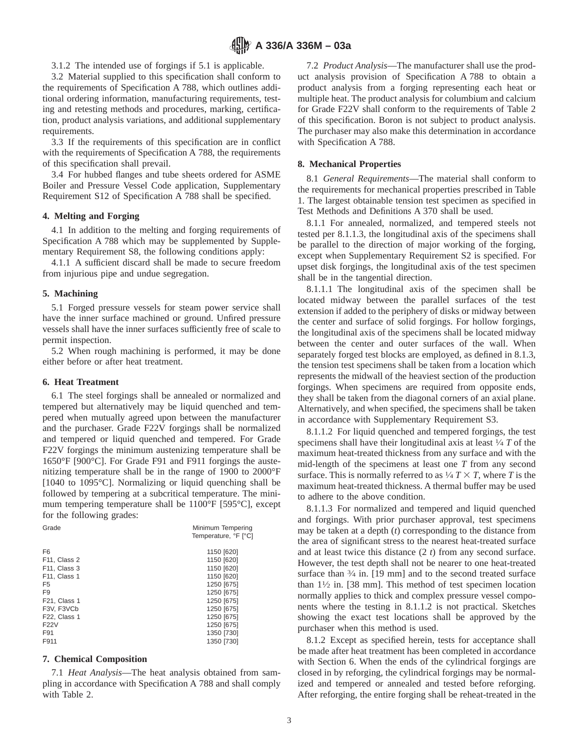3.1.2 The intended use of forgings if 5.1 is applicable.

3.2 Material supplied to this specification shall conform to the requirements of Specification A 788, which outlines additional ordering information, manufacturing requirements, testing and retesting methods and procedures, marking, certification, product analysis variations, and additional supplementary requirements.

3.3 If the requirements of this specification are in conflict with the requirements of Specification A 788, the requirements of this specification shall prevail.

3.4 For hubbed flanges and tube sheets ordered for ASME Boiler and Pressure Vessel Code application, Supplementary Requirement S12 of Specification A 788 shall be specified.

#### **4. Melting and Forging**

4.1 In addition to the melting and forging requirements of Specification A 788 which may be supplemented by Supplementary Requirement S8, the following conditions apply:

4.1.1 A sufficient discard shall be made to secure freedom from injurious pipe and undue segregation.

#### **5. Machining**

5.1 Forged pressure vessels for steam power service shall have the inner surface machined or ground. Unfired pressure vessels shall have the inner surfaces sufficiently free of scale to permit inspection.

5.2 When rough machining is performed, it may be done either before or after heat treatment.

#### **6. Heat Treatment**

6.1 The steel forgings shall be annealed or normalized and tempered but alternatively may be liquid quenched and tempered when mutually agreed upon between the manufacturer and the purchaser. Grade F22V forgings shall be normalized and tempered or liquid quenched and tempered. For Grade F22V forgings the minimum austenizing temperature shall be 1650°F [900°C]. For Grade F91 and F911 forgings the austenitizing temperature shall be in the range of 1900 to 2000°F [1040 to 1095°C]. Normalizing or liquid quenching shall be followed by tempering at a subcritical temperature. The minimum tempering temperature shall be 1100°F [595°C], except for the following grades:

| Grade                     | Minimum Tempering<br>Temperature, °F [°C] |
|---------------------------|-------------------------------------------|
| F <sub>6</sub>            | 1150 [620]                                |
| F <sub>11</sub> , Class 2 | 1150 [620]                                |
| F11, Class 3              | 1150 [620]                                |
| F11, Class 1              | 1150 [620]                                |
| F5                        | 1250 [675]                                |
| F <sub>9</sub>            | 1250 [675]                                |
| F <sub>21</sub> , Class 1 | 1250 [675]                                |
| F3V. F3VCb                | 1250 [675]                                |
| F22, Class 1              | 1250 [675]                                |
| F22V                      | 1250 [675]                                |
| F91                       | 1350 [730]                                |
| F911                      | 1350 [730]                                |

#### **7. Chemical Composition**

7.1 *Heat Analysis*—The heat analysis obtained from sampling in accordance with Specification A 788 and shall comply with Table 2.

7.2 *Product Analysis*—The manufacturer shall use the product analysis provision of Specification A 788 to obtain a product analysis from a forging representing each heat or multiple heat. The product analysis for columbium and calcium for Grade F22V shall conform to the requirements of Table 2 of this specification. Boron is not subject to product analysis. The purchaser may also make this determination in accordance with Specification A 788.

#### **8. Mechanical Properties**

8.1 *General Requirements*—The material shall conform to the requirements for mechanical properties prescribed in Table 1. The largest obtainable tension test specimen as specified in Test Methods and Definitions A 370 shall be used.

8.1.1 For annealed, normalized, and tempered steels not tested per 8.1.1.3, the longitudinal axis of the specimens shall be parallel to the direction of major working of the forging, except when Supplementary Requirement S2 is specified. For upset disk forgings, the longitudinal axis of the test specimen shall be in the tangential direction.

8.1.1.1 The longitudinal axis of the specimen shall be located midway between the parallel surfaces of the test extension if added to the periphery of disks or midway between the center and surface of solid forgings. For hollow forgings, the longitudinal axis of the specimens shall be located midway between the center and outer surfaces of the wall. When separately forged test blocks are employed, as defined in 8.1.3, the tension test specimens shall be taken from a location which represents the midwall of the heaviest section of the production forgings. When specimens are required from opposite ends, they shall be taken from the diagonal corners of an axial plane. Alternatively, and when specified, the specimens shall be taken in accordance with Supplementary Requirement S3.

8.1.1.2 For liquid quenched and tempered forgings, the test specimens shall have their longitudinal axis at least 1⁄4 *T* of the maximum heat-treated thickness from any surface and with the mid-length of the specimens at least one *T* from any second surface. This is normally referred to as  $\frac{1}{4}T \times T$ , where *T* is the maximum heat-treated thickness. A thermal buffer may be used to adhere to the above condition.

8.1.1.3 For normalized and tempered and liquid quenched and forgings. With prior purchaser approval, test specimens may be taken at a depth (*t*) corresponding to the distance from the area of significant stress to the nearest heat-treated surface and at least twice this distance (2 *t*) from any second surface. However, the test depth shall not be nearer to one heat-treated surface than  $\frac{3}{4}$  in. [19 mm] and to the second treated surface than  $1\frac{1}{2}$  in. [38 mm]. This method of test specimen location normally applies to thick and complex pressure vessel components where the testing in 8.1.1.2 is not practical. Sketches showing the exact test locations shall be approved by the purchaser when this method is used.

8.1.2 Except as specified herein, tests for acceptance shall be made after heat treatment has been completed in accordance with Section 6. When the ends of the cylindrical forgings are closed in by reforging, the cylindrical forgings may be normalized and tempered or annealed and tested before reforging. After reforging, the entire forging shall be reheat-treated in the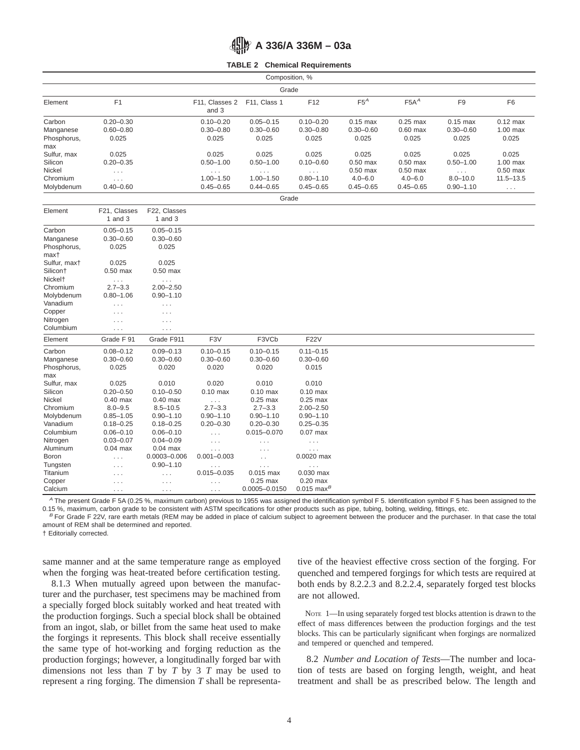# **A 336/A 336M – 03a**

**TABLE 2 Chemical Requirements**

| Composition, %      |                           |                           |                         |                      |                         |               |               |                |                      |
|---------------------|---------------------------|---------------------------|-------------------------|----------------------|-------------------------|---------------|---------------|----------------|----------------------|
| Grade               |                           |                           |                         |                      |                         |               |               |                |                      |
| Element             | F1                        |                           | F11, Classes 2<br>and 3 | F11, Class 1         | F12                     | $F5^A$        | $F5A^A$       | F <sub>9</sub> | F <sub>6</sub>       |
| Carbon              | $0.20 - 0.30$             |                           | $0.10 - 0.20$           | $0.05 - 0.15$        | $0.10 - 0.20$           | $0.15$ max    | $0.25$ max    | $0.15$ max     | $0.12$ max           |
| Manganese           | $0.60 - 0.80$             |                           | $0.30 - 0.80$           | $0.30 - 0.60$        | $0.30 - 0.80$           | $0.30 - 0.60$ | $0.60$ max    | $0.30 - 0.60$  | $1.00$ max           |
| Phosphorus,         | 0.025                     |                           | 0.025                   | 0.025                | 0.025                   | 0.025         | 0.025         | 0.025          | 0.025                |
| max                 |                           |                           |                         |                      |                         |               |               |                |                      |
| Sulfur, max         | 0.025                     |                           | 0.025                   | 0.025                | 0.025                   | 0.025         | 0.025         | 0.025          | 0.025                |
| Silicon             | $0.20 - 0.35$             |                           | $0.50 - 1.00$           | $0.50 - 1.00$        | $0.10 - 0.60$           | $0.50$ max    | $0.50$ max    | $0.50 - 1.00$  | 1.00 max             |
| Nickel              | $\ldots$                  |                           | $\cdots$                | $\sim$ $\sim$ $\sim$ | $\cdots$                | $0.50$ max    | $0.50$ max    | $\ldots$       | $0.50$ max           |
| Chromium            | $\ldots$ .                |                           | $1.00 - 1.50$           | $1.00 - 1.50$        | $0.80 - 1.10$           | $4.0 - 6.0$   | $4.0 - 6.0$   | $8.0 - 10.0$   | $11.5 - 13.5$        |
| Molybdenum          | $0.40 - 0.60$             |                           | $0.45 - 0.65$           | $0.44 - 0.65$        | $0.45 - 0.65$           | $0.45 - 0.65$ | $0.45 - 0.65$ | $0.90 - 1.10$  | $\sim$ $\sim$ $\sim$ |
|                     |                           |                           |                         | Grade                |                         |               |               |                |                      |
| Element             | F21, Classes<br>1 and $3$ | F22, Classes<br>1 and $3$ |                         |                      |                         |               |               |                |                      |
| Carbon              | $0.05 - 0.15$             | $0.05 - 0.15$             |                         |                      |                         |               |               |                |                      |
| Manganese           | $0.30 - 0.60$             | $0.30 - 0.60$             |                         |                      |                         |               |               |                |                      |
| Phosphorus,         | 0.025                     | 0.025                     |                         |                      |                         |               |               |                |                      |
| max†                |                           |                           |                         |                      |                         |               |               |                |                      |
| Sulfur, maxt        | 0.025                     | 0.025                     |                         |                      |                         |               |               |                |                      |
| Silicon†            | $0.50$ max                | $0.50$ max                |                         |                      |                         |               |               |                |                      |
| Nickel <sup>+</sup> | $\ldots$                  | $\ldots$                  |                         |                      |                         |               |               |                |                      |
| Chromium            | $2.7 - 3.3$               | $2.00 - 2.50$             |                         |                      |                         |               |               |                |                      |
| Molybdenum          | $0.80 - 1.06$             | $0.90 - 1.10$             |                         |                      |                         |               |               |                |                      |
| Vanadium            | $\cdots$                  | $\cdots$                  |                         |                      |                         |               |               |                |                      |
| Copper              | $\cdots$                  | $\cdots$                  |                         |                      |                         |               |               |                |                      |
| Nitrogen            | $\ldots$                  | $\ldots$ .                |                         |                      |                         |               |               |                |                      |
| Columbium           | $\cdots$                  | $\sim$ $\sim$ $\sim$      |                         |                      |                         |               |               |                |                      |
| Element             | Grade F 91                | Grade F911                | F <sub>3</sub> V        | F3VCb                | <b>F22V</b>             |               |               |                |                      |
| Carbon              | $0.08 - 0.12$             | $0.09 - 0.13$             | $0.10 - 0.15$           | $0.10 - 0.15$        | $0.11 - 0.15$           |               |               |                |                      |
| Manganese           | $0.30 - 0.60$             | $0.30 - 0.60$             | $0.30 - 0.60$           | $0.30 - 0.60$        | $0.30 - 0.60$           |               |               |                |                      |
| Phosphorus,         | 0.025                     | 0.020                     | 0.020                   | 0.020                | 0.015                   |               |               |                |                      |
| max                 |                           |                           |                         |                      |                         |               |               |                |                      |
| Sulfur, max         | 0.025                     | 0.010                     | 0.020                   | 0.010                | 0.010                   |               |               |                |                      |
| Silicon             | $0.20 - 0.50$             | $0.10 - 0.50$             | $0.10$ max              | $0.10$ max           | $0.10$ max              |               |               |                |                      |
| Nickel              | $0.40$ max                | $0.40$ max                | $\sim$ $\sim$ $\sim$    | $0.25$ max           | $0.25$ max              |               |               |                |                      |
| Chromium            | $8.0 - 9.5$               | $8.5 - 10.5$              | $2.7 - 3.3$             | $2.7 - 3.3$          | $2.00 - 2.50$           |               |               |                |                      |
| Molybdenum          | $0.85 - 1.05$             | $0.90 - 1.10$             | $0.90 - 1.10$           | $0.90 - 1.10$        | $0.90 - 1.10$           |               |               |                |                      |
| Vanadium            | $0.18 - 0.25$             | $0.18 - 0.25$             | $0.20 - 0.30$           | $0.20 - 0.30$        | $0.25 - 0.35$           |               |               |                |                      |
| Columbium           | $0.06 - 0.10$             | $0.06 - 0.10$             | $\ldots$                | $0.015 - 0.070$      | $0.07$ max              |               |               |                |                      |
| Nitrogen            | $0.03 - 0.07$             | $0.04 - 0.09$             | $\cdots$                | .                    | $\cdots$                |               |               |                |                      |
| Aluminum            | $0.04$ max                | $0.04$ max                | $\cdots$                | .                    | $\cdots$                |               |               |                |                      |
| Boron               | $\ldots$                  | $0.0003 - 0.006$          | $0.001 - 0.003$         | $\ddot{\phantom{a}}$ | 0.0020 max              |               |               |                |                      |
| Tungsten            | $\cdots$                  | $0.90 - 1.10$             | $\cdots$                | $\cdots$             | $\ldots$                |               |               |                |                      |
| Titanium            | $\cdots$                  | $\cdots$                  | $0.015 - 0.035$         | $0.015$ max          | 0.030 max               |               |               |                |                      |
| Copper              | $\cdots$                  | $\cdots$                  | $\cdots$                | $0.25$ max           | $0.20$ max              |               |               |                |                      |
| Calcium             | $\cdots$                  | $\ldots$ .                | $\cdots$                | 0.0005-0.0150        | $0.015 \text{ max}^{B}$ |               |               |                |                      |

<sup>A</sup> The present Grade F 5A (0.25 %, maximum carbon) previous to 1955 was assigned the identification symbol F 5. Identification symbol F 5 has been assigned to the 0.15 %, maximum, carbon grade to be consistent with ASTM specifications for other products such as pipe, tubing, bolting, welding, fittings, etc.

 $B$  For Grade F 22V, rare earth metals (REM may be added in place of calcium subject to agreement between the producer and the purchaser. In that case the total amount of REM shall be determined and reported.

† Editorially corrected.

same manner and at the same temperature range as employed when the forging was heat-treated before certification testing.

8.1.3 When mutually agreed upon between the manufacturer and the purchaser, test specimens may be machined from a specially forged block suitably worked and heat treated with the production forgings. Such a special block shall be obtained from an ingot, slab, or billet from the same heat used to make the forgings it represents. This block shall receive essentially the same type of hot-working and forging reduction as the production forgings; however, a longitudinally forged bar with dimensions not less than  $T$  by  $T$  by  $3$   $T$  may be used to represent a ring forging. The dimension *T* shall be representative of the heaviest effective cross section of the forging. For quenched and tempered forgings for which tests are required at both ends by 8.2.2.3 and 8.2.2.4, separately forged test blocks are not allowed.

NOTE 1—In using separately forged test blocks attention is drawn to the effect of mass differences between the production forgings and the test blocks. This can be particularly significant when forgings are normalized and tempered or quenched and tempered.

8.2 *Number and Location of Tests*—The number and location of tests are based on forging length, weight, and heat treatment and shall be as prescribed below. The length and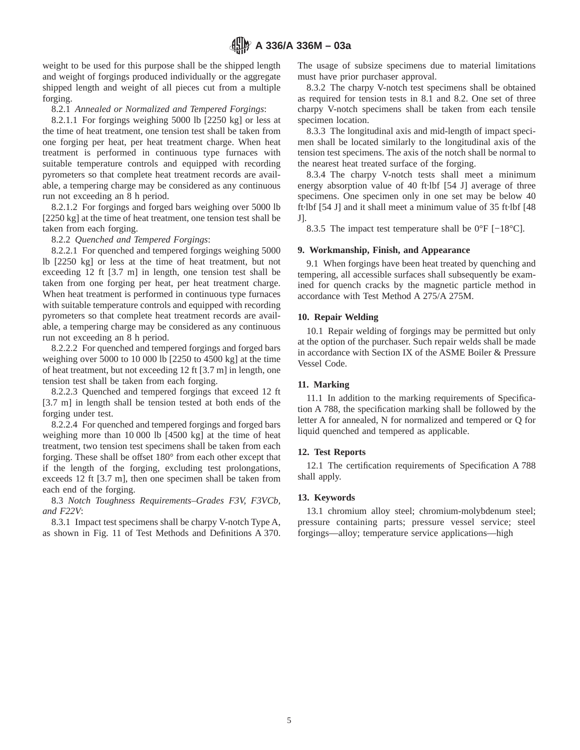weight to be used for this purpose shall be the shipped length and weight of forgings produced individually or the aggregate shipped length and weight of all pieces cut from a multiple forging.

8.2.1 *Annealed or Normalized and Tempered Forgings*:

8.2.1.1 For forgings weighing 5000 lb [2250 kg] or less at the time of heat treatment, one tension test shall be taken from one forging per heat, per heat treatment charge. When heat treatment is performed in continuous type furnaces with suitable temperature controls and equipped with recording pyrometers so that complete heat treatment records are available, a tempering charge may be considered as any continuous run not exceeding an 8 h period.

8.2.1.2 For forgings and forged bars weighing over 5000 lb [2250 kg] at the time of heat treatment, one tension test shall be taken from each forging.

8.2.2 *Quenched and Tempered Forgings*:

8.2.2.1 For quenched and tempered forgings weighing 5000 lb [2250 kg] or less at the time of heat treatment, but not exceeding 12 ft [3.7 m] in length, one tension test shall be taken from one forging per heat, per heat treatment charge. When heat treatment is performed in continuous type furnaces with suitable temperature controls and equipped with recording pyrometers so that complete heat treatment records are available, a tempering charge may be considered as any continuous run not exceeding an 8 h period.

8.2.2.2 For quenched and tempered forgings and forged bars weighing over 5000 to 10 000 lb [2250 to 4500 kg] at the time of heat treatment, but not exceeding 12 ft [3.7 m] in length, one tension test shall be taken from each forging.

8.2.2.3 Quenched and tempered forgings that exceed 12 ft [3.7 m] in length shall be tension tested at both ends of the forging under test.

8.2.2.4 For quenched and tempered forgings and forged bars weighing more than 10 000 lb [4500 kg] at the time of heat treatment, two tension test specimens shall be taken from each forging. These shall be offset 180° from each other except that if the length of the forging, excluding test prolongations, exceeds 12 ft [3.7 m], then one specimen shall be taken from each end of the forging.

# 8.3 *Notch Toughness Requirements–Grades F3V, F3VCb, and F22V*:

8.3.1 Impact test specimens shall be charpy V-notch Type A, as shown in Fig. 11 of Test Methods and Definitions A 370. The usage of subsize specimens due to material limitations must have prior purchaser approval.

8.3.2 The charpy V-notch test specimens shall be obtained as required for tension tests in 8.1 and 8.2. One set of three charpy V-notch specimens shall be taken from each tensile specimen location.

8.3.3 The longitudinal axis and mid-length of impact specimen shall be located similarly to the longitudinal axis of the tension test specimens. The axis of the notch shall be normal to the nearest heat treated surface of the forging.

8.3.4 The charpy V-notch tests shall meet a minimum energy absorption value of 40 ft·lbf [54 J] average of three specimens. One specimen only in one set may be below 40 ft·lbf [54 J] and it shall meet a minimum value of 35 ft·lbf [48 J].

8.3.5 The impact test temperature shall be 0°F [−18°C].

# **9. Workmanship, Finish, and Appearance**

9.1 When forgings have been heat treated by quenching and tempering, all accessible surfaces shall subsequently be examined for quench cracks by the magnetic particle method in accordance with Test Method A 275/A 275M.

# **10. Repair Welding**

10.1 Repair welding of forgings may be permitted but only at the option of the purchaser. Such repair welds shall be made in accordance with Section IX of the ASME Boiler & Pressure Vessel Code.

# **11. Marking**

11.1 In addition to the marking requirements of Specification A 788, the specification marking shall be followed by the letter A for annealed, N for normalized and tempered or Q for liquid quenched and tempered as applicable.

# **12. Test Reports**

12.1 The certification requirements of Specification A 788 shall apply.

# **13. Keywords**

13.1 chromium alloy steel; chromium-molybdenum steel; pressure containing parts; pressure vessel service; steel forgings—alloy; temperature service applications—high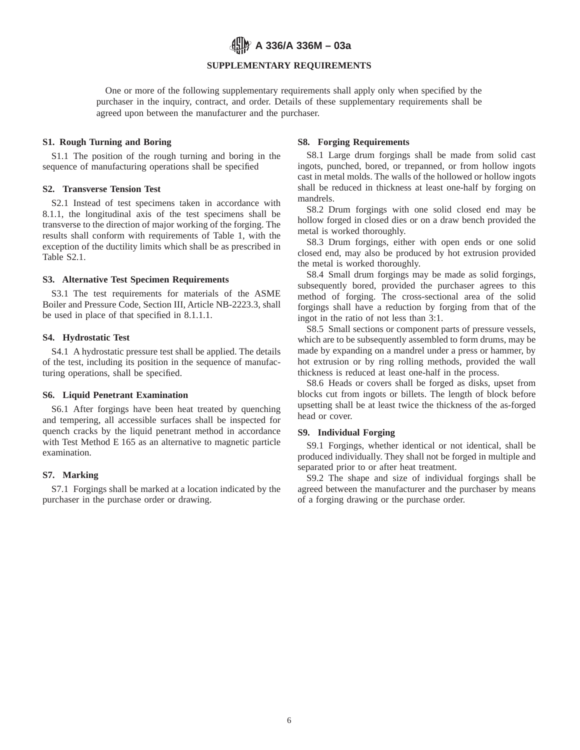**A 336/A 336M – 03a**

# **SUPPLEMENTARY REQUIREMENTS**

One or more of the following supplementary requirements shall apply only when specified by the purchaser in the inquiry, contract, and order. Details of these supplementary requirements shall be agreed upon between the manufacturer and the purchaser.

#### **S1. Rough Turning and Boring**

S1.1 The position of the rough turning and boring in the sequence of manufacturing operations shall be specified

#### **S2. Transverse Tension Test**

S2.1 Instead of test specimens taken in accordance with 8.1.1, the longitudinal axis of the test specimens shall be transverse to the direction of major working of the forging. The results shall conform with requirements of Table 1, with the exception of the ductility limits which shall be as prescribed in Table S2.1.

# **S3. Alternative Test Specimen Requirements**

S3.1 The test requirements for materials of the ASME Boiler and Pressure Code, Section III, Article NB-2223.3, shall be used in place of that specified in 8.1.1.1.

# **S4. Hydrostatic Test**

S4.1 A hydrostatic pressure test shall be applied. The details of the test, including its position in the sequence of manufacturing operations, shall be specified.

## **S6. Liquid Penetrant Examination**

S6.1 After forgings have been heat treated by quenching and tempering, all accessible surfaces shall be inspected for quench cracks by the liquid penetrant method in accordance with Test Method E 165 as an alternative to magnetic particle examination.

## **S7. Marking**

S7.1 Forgings shall be marked at a location indicated by the purchaser in the purchase order or drawing.

# **S8. Forging Requirements**

S8.1 Large drum forgings shall be made from solid cast ingots, punched, bored, or trepanned, or from hollow ingots cast in metal molds. The walls of the hollowed or hollow ingots shall be reduced in thickness at least one-half by forging on mandrels.

S8.2 Drum forgings with one solid closed end may be hollow forged in closed dies or on a draw bench provided the metal is worked thoroughly.

S8.3 Drum forgings, either with open ends or one solid closed end, may also be produced by hot extrusion provided the metal is worked thoroughly.

S8.4 Small drum forgings may be made as solid forgings, subsequently bored, provided the purchaser agrees to this method of forging. The cross-sectional area of the solid forgings shall have a reduction by forging from that of the ingot in the ratio of not less than 3:1.

S8.5 Small sections or component parts of pressure vessels, which are to be subsequently assembled to form drums, may be made by expanding on a mandrel under a press or hammer, by hot extrusion or by ring rolling methods, provided the wall thickness is reduced at least one-half in the process.

S8.6 Heads or covers shall be forged as disks, upset from blocks cut from ingots or billets. The length of block before upsetting shall be at least twice the thickness of the as-forged head or cover.

#### **S9. Individual Forging**

S9.1 Forgings, whether identical or not identical, shall be produced individually. They shall not be forged in multiple and separated prior to or after heat treatment.

S9.2 The shape and size of individual forgings shall be agreed between the manufacturer and the purchaser by means of a forging drawing or the purchase order.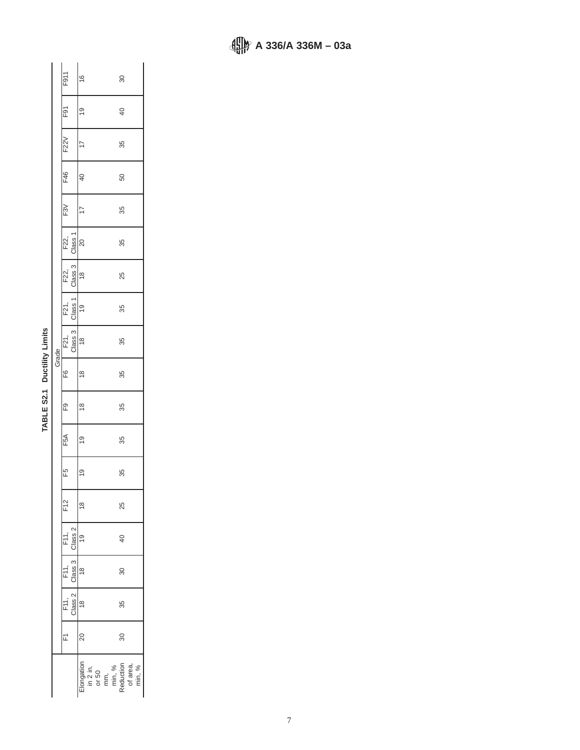|  |                                                | F911                                                  |                 | $\overset{\circ}{=}$ |                                                                                     |  | 80              |  |
|--|------------------------------------------------|-------------------------------------------------------|-----------------|----------------------|-------------------------------------------------------------------------------------|--|-----------------|--|
|  |                                                | $\overline{E}$                                        |                 | စ္                   |                                                                                     |  | $\overline{40}$ |  |
|  |                                                | F22V                                                  |                 |                      |                                                                                     |  | 35              |  |
|  |                                                | F46                                                   |                 | $\overline{6}$       |                                                                                     |  | 50              |  |
|  |                                                | $\widetilde{E}$                                       |                 |                      |                                                                                     |  | 35              |  |
|  |                                                |                                                       | F22,<br>Class 1 | 20                   |                                                                                     |  | 35              |  |
|  |                                                | F22,                                                  | Class 3         | $\frac{8}{2}$        |                                                                                     |  | 25              |  |
|  | <b>The community of the community</b><br>Grade | F21,<br>Class 1                                       |                 | $\frac{0}{2}$        |                                                                                     |  | 35              |  |
|  |                                                | F21,<br>Class 3                                       |                 | $\frac{8}{1}$        |                                                                                     |  | 35              |  |
|  |                                                | F6                                                    |                 | $\frac{8}{1}$        |                                                                                     |  | 35              |  |
|  |                                                | P.                                                    |                 | $\frac{8}{1}$        |                                                                                     |  | 35              |  |
|  |                                                | F5A                                                   |                 | Q)                   |                                                                                     |  | 35              |  |
|  |                                                | F5                                                    |                 | $\frac{0}{2}$        |                                                                                     |  | 35              |  |
|  |                                                | F <sub>12</sub>                                       |                 | $\frac{8}{3}$        |                                                                                     |  | 25              |  |
|  |                                                | F11, F11, F11,<br>Class 2 Class 3 Class 2<br>18 18 18 |                 |                      |                                                                                     |  | $\overline{0}$  |  |
|  |                                                |                                                       |                 |                      |                                                                                     |  | 30              |  |
|  |                                                |                                                       |                 |                      |                                                                                     |  | 35              |  |
|  |                                                |                                                       |                 | 20                   |                                                                                     |  | 30              |  |
|  |                                                |                                                       |                 |                      | ົ:Iongation<br>in 2 in.<br>or 50<br>or min, %<br>Reduction<br>Reduction<br>of area, |  |                 |  |

| ١                |
|------------------|
| ī                |
| Ξ<br>I<br>ı<br>ı |